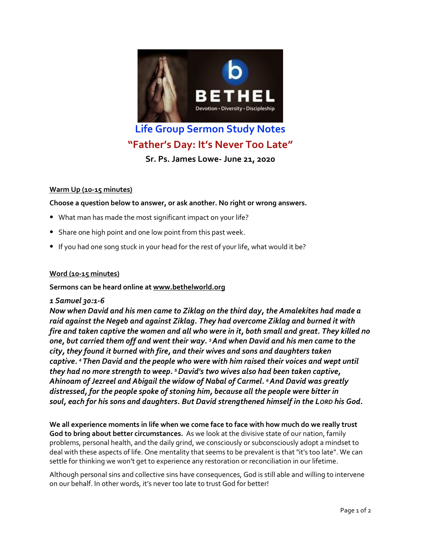

# **Life Group Sermon Study Notes "Father's Day: It's Never Too Late"**

**Sr. Ps. James Lowe- June 21, 2020**

### **Warm Up (10-15 minutes)**

**Choose a question below to answer, or ask another. No right or wrong answers.**

- What man has made the most significant impact on your life?
- Share one high point and one low point from this past week.
- If you had one song stuck in your head for the rest of your life, what would it be?

#### **Word (10-15 minutes)**

#### **Sermons can be heard online at [www.bethelworld.org](http://www.bethelworld.org/)**

#### *1 Samuel 30:1-6*

*Now when David and his men came to Ziklag on the third day, the Amalekites had made a raid against the Negeb and against Ziklag. They had overcome Ziklag and burned it with fire and taken captive the women and all who were in it, both small and great. They killed no one, but carried them off and went their way. <sup>3</sup>And when David and his men came to the city, they found it burned with fire, and their wives and sons and daughters taken captive. <sup>4</sup> Then David and the people who were with him raised their voices and wept until they had no more strength to weep. <sup>5</sup>David's two wives also had been taken captive, Ahinoam of Jezreel and Abigail the widow of Nabal of Carmel. <sup>6</sup>And David was greatly distressed, for the people spoke of stoning him, because all the people were bitter in soul, each for his sons and daughters. But David strengthened himself in the LORD his God.*

**We all experience moments in life when we come face to face with how much do we really trust God to bring about better circumstances.** As we look at the divisive state of our nation, family problems, personal health, and the daily grind, we consciously or subconsciously adopt a mindset to deal with these aspects of life. One mentality that seems to be prevalent is that "it's too late". We can settle for thinking we won't get to experience any restoration or reconciliation in our lifetime.

Although personal sins and collective sins have consequences, God is still able and willing to intervene on our behalf. In other words, it's never too late to trust God for better!